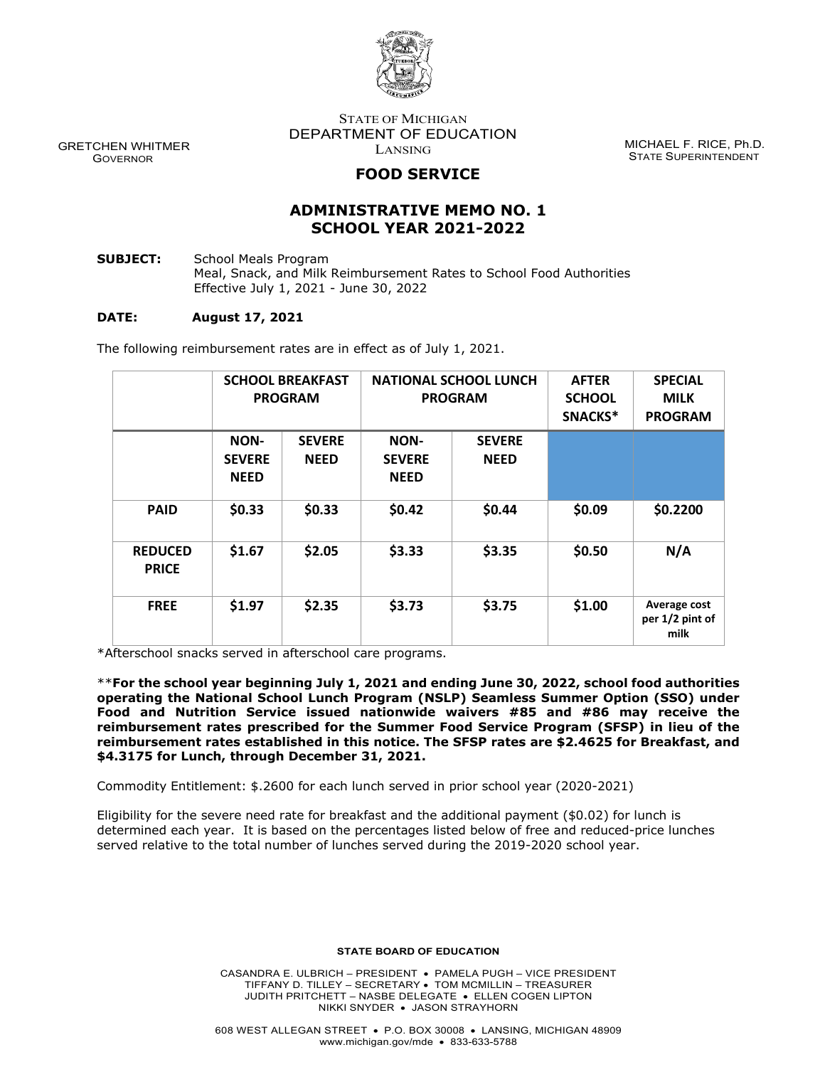

 GRETCHEN WHITMER GOVERNOR

STATE OF MICHIGAN DEPARTMENT OF EDUCATION LANSING

MICHAEL F. RICE, Ph.D. STATE SUPERINTENDENT

# **FOOD SERVICE**

## **ADMINISTRATIVE MEMO NO. 1 SCHOOL YEAR 2021-2022**

**SUBJECT:** School Meals Program Meal, Snack, and Milk Reimbursement Rates to School Food Authorities Effective July 1, 2021 - June 30, 2022

### **DATE: August 17, 2021**

The following reimbursement rates are in effect as of July 1, 2021.

|                                | <b>SCHOOL BREAKFAST</b><br><b>PROGRAM</b> |                              | <b>NATIONAL SCHOOL LUNCH</b><br><b>PROGRAM</b> |                              | <b>AFTER</b><br><b>SCHOOL</b><br>SNACKS* | <b>SPECIAL</b><br><b>MILK</b><br><b>PROGRAM</b> |
|--------------------------------|-------------------------------------------|------------------------------|------------------------------------------------|------------------------------|------------------------------------------|-------------------------------------------------|
|                                | NON-<br><b>SEVERE</b><br><b>NEED</b>      | <b>SEVERE</b><br><b>NEED</b> | NON-<br><b>SEVERE</b><br><b>NEED</b>           | <b>SEVERE</b><br><b>NEED</b> |                                          |                                                 |
| <b>PAID</b>                    | \$0.33                                    | \$0.33                       | \$0.42                                         | \$0.44                       | \$0.09                                   | \$0.2200                                        |
| <b>REDUCED</b><br><b>PRICE</b> | \$1.67                                    | \$2.05                       | \$3.33                                         | \$3.35                       | \$0.50                                   | N/A                                             |
| <b>FREE</b>                    | \$1.97                                    | \$2.35                       | \$3.73                                         | \$3.75                       | \$1.00                                   | Average cost<br>per 1/2 pint of<br>milk         |

\*Afterschool snacks served in afterschool care programs.

\*\***For the school year beginning July 1, 2021 and ending June 30, 2022, school food authorities operating the National School Lunch Program (NSLP) Seamless Summer Option (SSO) under Food and Nutrition Service issued nationwide waivers #85 and #86 may receive the reimbursement rates prescribed for the Summer Food Service Program (SFSP) in lieu of the reimbursement rates established in this notice. The SFSP rates are \$2.4625 for Breakfast, and \$4.3175 for Lunch, through December 31, 2021.**

Commodity Entitlement: \$.2600 for each lunch served in prior school year (2020-2021)

Eligibility for the severe need rate for breakfast and the additional payment (\$0.02) for lunch is determined each year. It is based on the percentages listed below of free and reduced-price lunches served relative to the total number of lunches served during the 2019-2020 school year.

#### **STATE BOARD OF EDUCATION**

CASANDRA E. ULBRICH – PRESIDENT • PAMELA PUGH – VICE PRESIDENT TIFFANY D. TILLEY – SECRETARY • TOM MCMILLIN – TREASURER JUDITH PRITCHETT – NASBE DELEGATE • ELLEN COGEN LIPTON NIKKI SNYDER • JASON STRAYHORN